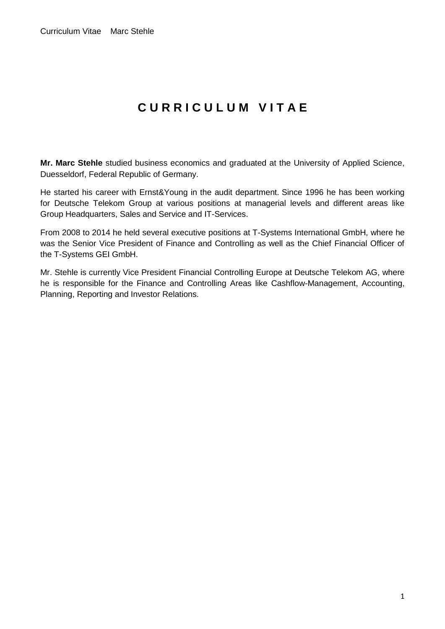## **C U R R I C U L U M V I T A E**

**Mr. Marc Stehle** studied business economics and graduated at the University of Applied Science, Duesseldorf, Federal Republic of Germany.

He started his career with Ernst&Young in the audit department. Since 1996 he has been working for Deutsche Telekom Group at various positions at managerial levels and different areas like Group Headquarters, Sales and Service and IT-Services.

From 2008 to 2014 he held several executive positions at T-Systems International GmbH, where he was the Senior Vice President of Finance and Controlling as well as the Chief Financial Officer of the T-Systems GEI GmbH.

Mr. Stehle is currently Vice President Financial Controlling Europe at Deutsche Telekom AG, where he is responsible for the Finance and Controlling Areas like Cashflow-Management, Accounting, Planning, Reporting and Investor Relations.